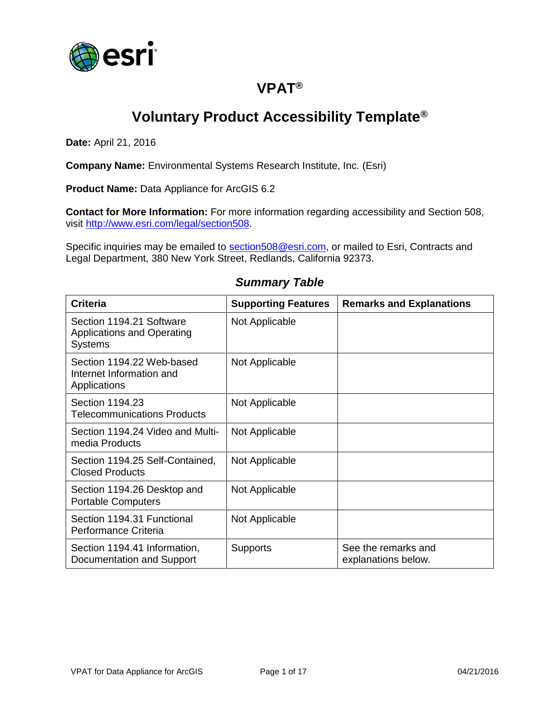

### **VPAT®**

# **Voluntary Product Accessibility Template®**

**Date:** April 21, 2016

**Company Name:** Environmental Systems Research Institute, Inc. (Esri)

**Product Name:** Data Appliance for ArcGIS 6.2

**Contact for More Information:** For more information regarding accessibility and Section 508, visit [http://www.esri.com/legal/section508.](http://www.esri.com/legal/section508)

Specific inquiries may be emailed to [section508@esri.com,](mailto:section508@esri.com) or mailed to Esri, Contracts and Legal Department, 380 New York Street, Redlands, California 92373.

## *Summary Table*

| <b>Criteria</b>                                                                 | <b>Supporting Features</b> | <b>Remarks and Explanations</b>            |
|---------------------------------------------------------------------------------|----------------------------|--------------------------------------------|
| Section 1194.21 Software<br><b>Applications and Operating</b><br><b>Systems</b> | Not Applicable             |                                            |
| Section 1194.22 Web-based<br>Internet Information and<br>Applications           | Not Applicable             |                                            |
| Section 1194.23<br><b>Telecommunications Products</b>                           | Not Applicable             |                                            |
| Section 1194.24 Video and Multi-<br>media Products                              | Not Applicable             |                                            |
| Section 1194.25 Self-Contained,<br><b>Closed Products</b>                       | Not Applicable             |                                            |
| Section 1194.26 Desktop and<br><b>Portable Computers</b>                        | Not Applicable             |                                            |
| Section 1194.31 Functional<br>Performance Criteria                              | Not Applicable             |                                            |
| Section 1194.41 Information,<br>Documentation and Support                       | <b>Supports</b>            | See the remarks and<br>explanations below. |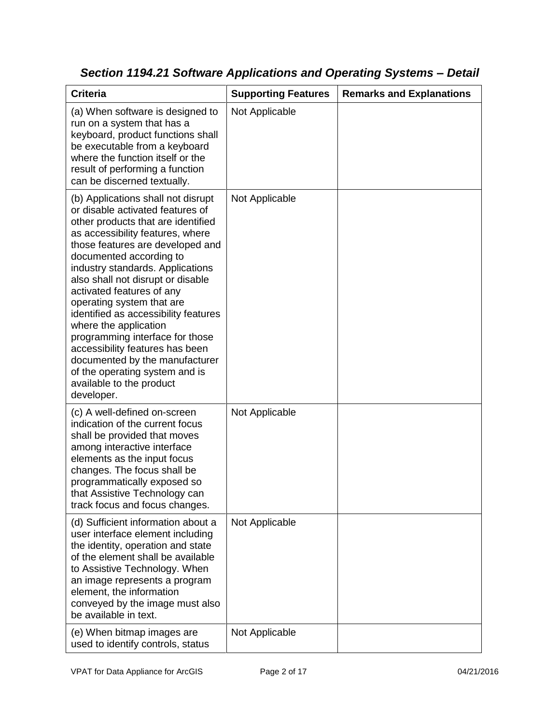| <b>Criteria</b>                                                                                                                                                                                                                                                                                                                                                                                                                                                                                                                                                                                         | <b>Supporting Features</b> | <b>Remarks and Explanations</b> |
|---------------------------------------------------------------------------------------------------------------------------------------------------------------------------------------------------------------------------------------------------------------------------------------------------------------------------------------------------------------------------------------------------------------------------------------------------------------------------------------------------------------------------------------------------------------------------------------------------------|----------------------------|---------------------------------|
| (a) When software is designed to<br>run on a system that has a<br>keyboard, product functions shall<br>be executable from a keyboard<br>where the function itself or the<br>result of performing a function<br>can be discerned textually.                                                                                                                                                                                                                                                                                                                                                              | Not Applicable             |                                 |
| (b) Applications shall not disrupt<br>or disable activated features of<br>other products that are identified<br>as accessibility features, where<br>those features are developed and<br>documented according to<br>industry standards. Applications<br>also shall not disrupt or disable<br>activated features of any<br>operating system that are<br>identified as accessibility features<br>where the application<br>programming interface for those<br>accessibility features has been<br>documented by the manufacturer<br>of the operating system and is<br>available to the product<br>developer. | Not Applicable             |                                 |
| (c) A well-defined on-screen<br>indication of the current focus<br>shall be provided that moves<br>among interactive interface<br>elements as the input focus<br>changes. The focus shall be<br>programmatically exposed so<br>that Assistive Technology can<br>track focus and focus changes.                                                                                                                                                                                                                                                                                                          | Not Applicable             |                                 |
| (d) Sufficient information about a<br>user interface element including<br>the identity, operation and state<br>of the element shall be available<br>to Assistive Technology. When<br>an image represents a program<br>element, the information<br>conveyed by the image must also<br>be available in text.                                                                                                                                                                                                                                                                                              | Not Applicable             |                                 |
| (e) When bitmap images are<br>used to identify controls, status                                                                                                                                                                                                                                                                                                                                                                                                                                                                                                                                         | Not Applicable             |                                 |

*Section 1194.21 Software Applications and Operating Systems – Detail*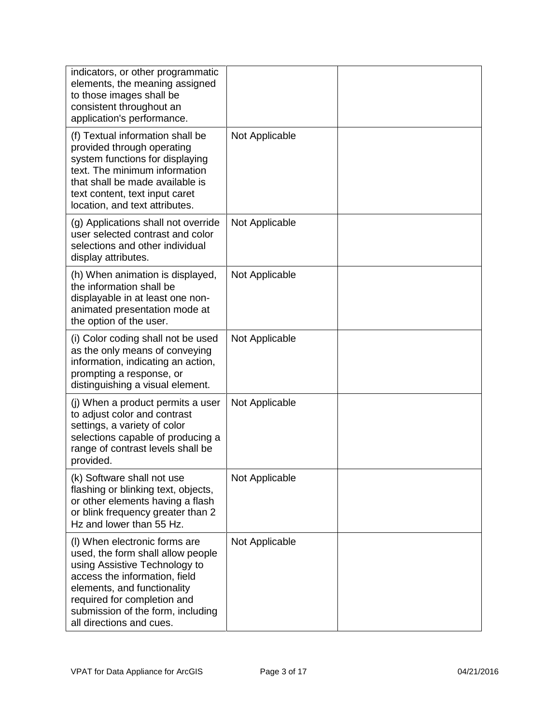| indicators, or other programmatic<br>elements, the meaning assigned<br>to those images shall be<br>consistent throughout an<br>application's performance.                                                                                                           |                |  |
|---------------------------------------------------------------------------------------------------------------------------------------------------------------------------------------------------------------------------------------------------------------------|----------------|--|
| (f) Textual information shall be<br>provided through operating<br>system functions for displaying<br>text. The minimum information<br>that shall be made available is<br>text content, text input caret<br>location, and text attributes.                           | Not Applicable |  |
| (g) Applications shall not override<br>user selected contrast and color<br>selections and other individual<br>display attributes.                                                                                                                                   | Not Applicable |  |
| (h) When animation is displayed,<br>the information shall be<br>displayable in at least one non-<br>animated presentation mode at<br>the option of the user.                                                                                                        | Not Applicable |  |
| (i) Color coding shall not be used<br>as the only means of conveying<br>information, indicating an action,<br>prompting a response, or<br>distinguishing a visual element.                                                                                          | Not Applicable |  |
| (j) When a product permits a user<br>to adjust color and contrast<br>settings, a variety of color<br>selections capable of producing a<br>range of contrast levels shall be<br>provided.                                                                            | Not Applicable |  |
| (k) Software shall not use<br>flashing or blinking text, objects,<br>or other elements having a flash<br>or blink frequency greater than 2<br>Hz and lower than 55 Hz.                                                                                              | Not Applicable |  |
| (I) When electronic forms are<br>used, the form shall allow people<br>using Assistive Technology to<br>access the information, field<br>elements, and functionality<br>required for completion and<br>submission of the form, including<br>all directions and cues. | Not Applicable |  |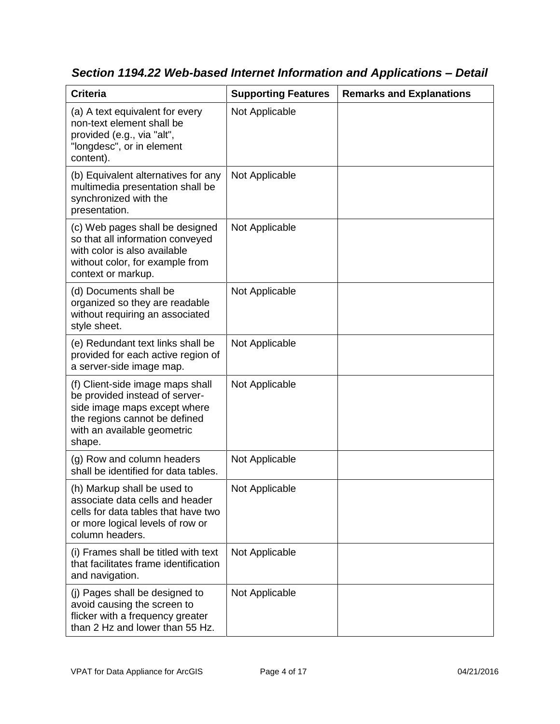| <b>Criteria</b>                                                                                                                                                              | <b>Supporting Features</b> | <b>Remarks and Explanations</b> |
|------------------------------------------------------------------------------------------------------------------------------------------------------------------------------|----------------------------|---------------------------------|
| (a) A text equivalent for every<br>non-text element shall be<br>provided (e.g., via "alt",<br>"longdesc", or in element<br>content).                                         | Not Applicable             |                                 |
| (b) Equivalent alternatives for any<br>multimedia presentation shall be<br>synchronized with the<br>presentation.                                                            | Not Applicable             |                                 |
| (c) Web pages shall be designed<br>so that all information conveyed<br>with color is also available<br>without color, for example from<br>context or markup.                 | Not Applicable             |                                 |
| (d) Documents shall be<br>organized so they are readable<br>without requiring an associated<br>style sheet.                                                                  | Not Applicable             |                                 |
| (e) Redundant text links shall be<br>provided for each active region of<br>a server-side image map.                                                                          | Not Applicable             |                                 |
| (f) Client-side image maps shall<br>be provided instead of server-<br>side image maps except where<br>the regions cannot be defined<br>with an available geometric<br>shape. | Not Applicable             |                                 |
| (g) Row and column headers<br>shall be identified for data tables.                                                                                                           | Not Applicable             |                                 |
| (h) Markup shall be used to<br>associate data cells and header<br>cells for data tables that have two<br>or more logical levels of row or<br>column headers.                 | Not Applicable             |                                 |
| (i) Frames shall be titled with text<br>that facilitates frame identification<br>and navigation.                                                                             | Not Applicable             |                                 |
| (j) Pages shall be designed to<br>avoid causing the screen to<br>flicker with a frequency greater<br>than 2 Hz and lower than 55 Hz.                                         | Not Applicable             |                                 |

*Section 1194.22 Web-based Internet Information and Applications – Detail*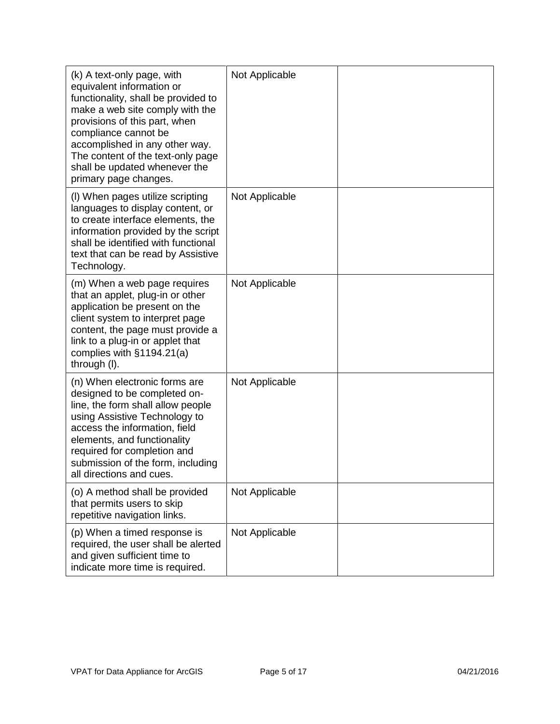| (k) A text-only page, with<br>equivalent information or<br>functionality, shall be provided to<br>make a web site comply with the<br>provisions of this part, when<br>compliance cannot be<br>accomplished in any other way.<br>The content of the text-only page<br>shall be updated whenever the<br>primary page changes. | Not Applicable |  |
|-----------------------------------------------------------------------------------------------------------------------------------------------------------------------------------------------------------------------------------------------------------------------------------------------------------------------------|----------------|--|
| (I) When pages utilize scripting<br>languages to display content, or<br>to create interface elements, the<br>information provided by the script<br>shall be identified with functional<br>text that can be read by Assistive<br>Technology.                                                                                 | Not Applicable |  |
| (m) When a web page requires<br>that an applet, plug-in or other<br>application be present on the<br>client system to interpret page<br>content, the page must provide a<br>link to a plug-in or applet that<br>complies with §1194.21(a)<br>through (I).                                                                   | Not Applicable |  |
| (n) When electronic forms are<br>designed to be completed on-<br>line, the form shall allow people<br>using Assistive Technology to<br>access the information, field<br>elements, and functionality<br>required for completion and<br>submission of the form, including<br>all directions and cues.                         | Not Applicable |  |
| (o) A method shall be provided<br>that permits users to skip<br>repetitive navigation links.                                                                                                                                                                                                                                | Not Applicable |  |
| (p) When a timed response is<br>required, the user shall be alerted<br>and given sufficient time to<br>indicate more time is required.                                                                                                                                                                                      | Not Applicable |  |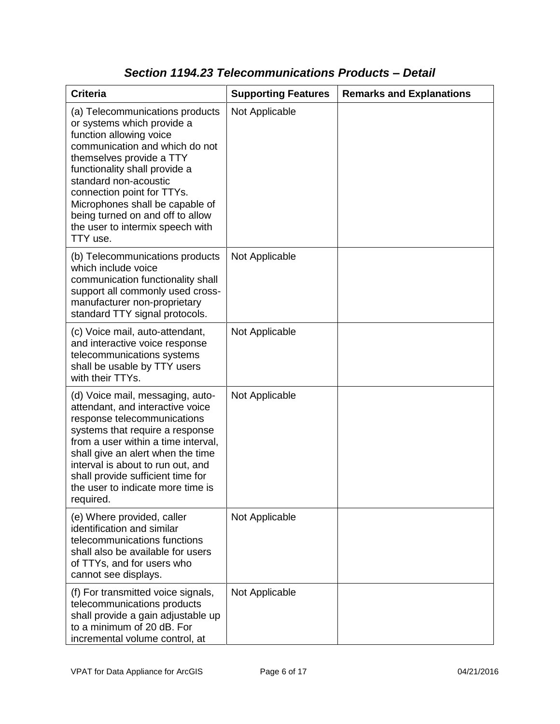| <b>Criteria</b>                                                                                                                                                                                                                                                                                                                                                       | <b>Supporting Features</b> | <b>Remarks and Explanations</b> |
|-----------------------------------------------------------------------------------------------------------------------------------------------------------------------------------------------------------------------------------------------------------------------------------------------------------------------------------------------------------------------|----------------------------|---------------------------------|
| (a) Telecommunications products<br>or systems which provide a<br>function allowing voice<br>communication and which do not<br>themselves provide a TTY<br>functionality shall provide a<br>standard non-acoustic<br>connection point for TTYs.<br>Microphones shall be capable of<br>being turned on and off to allow<br>the user to intermix speech with<br>TTY use. | Not Applicable             |                                 |
| (b) Telecommunications products<br>which include voice<br>communication functionality shall<br>support all commonly used cross-<br>manufacturer non-proprietary<br>standard TTY signal protocols.                                                                                                                                                                     | Not Applicable             |                                 |
| (c) Voice mail, auto-attendant,<br>and interactive voice response<br>telecommunications systems<br>shall be usable by TTY users<br>with their TTYs.                                                                                                                                                                                                                   | Not Applicable             |                                 |
| (d) Voice mail, messaging, auto-<br>attendant, and interactive voice<br>response telecommunications<br>systems that require a response<br>from a user within a time interval,<br>shall give an alert when the time<br>interval is about to run out, and<br>shall provide sufficient time for<br>the user to indicate more time is<br>required.                        | Not Applicable             |                                 |
| (e) Where provided, caller<br>identification and similar<br>telecommunications functions<br>shall also be available for users<br>of TTYs, and for users who<br>cannot see displays.                                                                                                                                                                                   | Not Applicable             |                                 |
| (f) For transmitted voice signals,<br>telecommunications products<br>shall provide a gain adjustable up<br>to a minimum of 20 dB. For<br>incremental volume control, at                                                                                                                                                                                               | Not Applicable             |                                 |

#### *Section 1194.23 Telecommunications Products – Detail*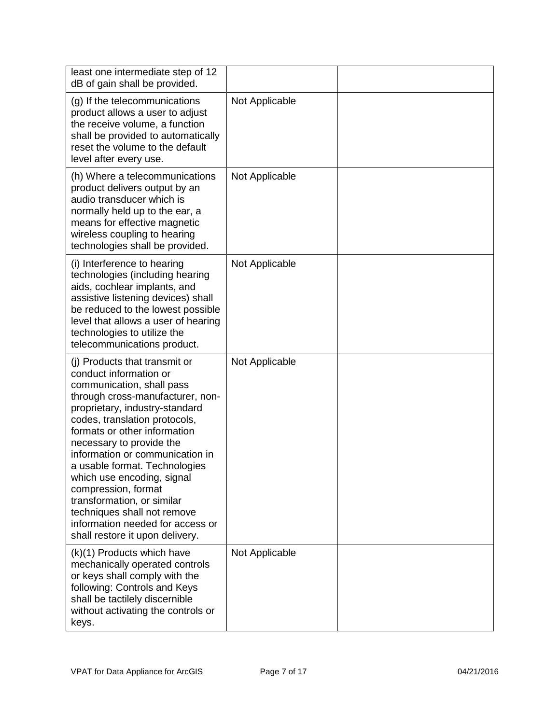| least one intermediate step of 12<br>dB of gain shall be provided.                                                                                                                                                                                                                                                                                                                                                                                                                                                   |                |  |
|----------------------------------------------------------------------------------------------------------------------------------------------------------------------------------------------------------------------------------------------------------------------------------------------------------------------------------------------------------------------------------------------------------------------------------------------------------------------------------------------------------------------|----------------|--|
| (g) If the telecommunications<br>product allows a user to adjust<br>the receive volume, a function<br>shall be provided to automatically<br>reset the volume to the default<br>level after every use.                                                                                                                                                                                                                                                                                                                | Not Applicable |  |
| (h) Where a telecommunications<br>product delivers output by an<br>audio transducer which is<br>normally held up to the ear, a<br>means for effective magnetic<br>wireless coupling to hearing<br>technologies shall be provided.                                                                                                                                                                                                                                                                                    | Not Applicable |  |
| (i) Interference to hearing<br>technologies (including hearing<br>aids, cochlear implants, and<br>assistive listening devices) shall<br>be reduced to the lowest possible<br>level that allows a user of hearing<br>technologies to utilize the<br>telecommunications product.                                                                                                                                                                                                                                       | Not Applicable |  |
| (i) Products that transmit or<br>conduct information or<br>communication, shall pass<br>through cross-manufacturer, non-<br>proprietary, industry-standard<br>codes, translation protocols,<br>formats or other information<br>necessary to provide the<br>information or communication in<br>a usable format. Technologies<br>which use encoding, signal<br>compression, format<br>transformation, or similar<br>techniques shall not remove<br>information needed for access or<br>shall restore it upon delivery. | Not Applicable |  |
| (k)(1) Products which have<br>mechanically operated controls<br>or keys shall comply with the<br>following: Controls and Keys<br>shall be tactilely discernible<br>without activating the controls or<br>keys.                                                                                                                                                                                                                                                                                                       | Not Applicable |  |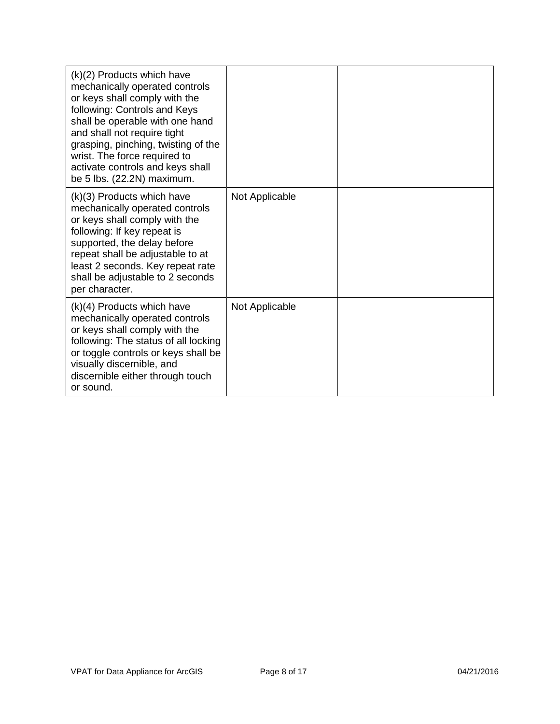| (k)(2) Products which have<br>mechanically operated controls<br>or keys shall comply with the<br>following: Controls and Keys<br>shall be operable with one hand<br>and shall not require tight<br>grasping, pinching, twisting of the<br>wrist. The force required to<br>activate controls and keys shall<br>be 5 lbs. (22.2N) maximum. |                |  |
|------------------------------------------------------------------------------------------------------------------------------------------------------------------------------------------------------------------------------------------------------------------------------------------------------------------------------------------|----------------|--|
| (k)(3) Products which have<br>mechanically operated controls<br>or keys shall comply with the<br>following: If key repeat is<br>supported, the delay before<br>repeat shall be adjustable to at<br>least 2 seconds. Key repeat rate<br>shall be adjustable to 2 seconds<br>per character.                                                | Not Applicable |  |
| $(k)(4)$ Products which have<br>mechanically operated controls<br>or keys shall comply with the<br>following: The status of all locking<br>or toggle controls or keys shall be<br>visually discernible, and<br>discernible either through touch<br>or sound.                                                                             | Not Applicable |  |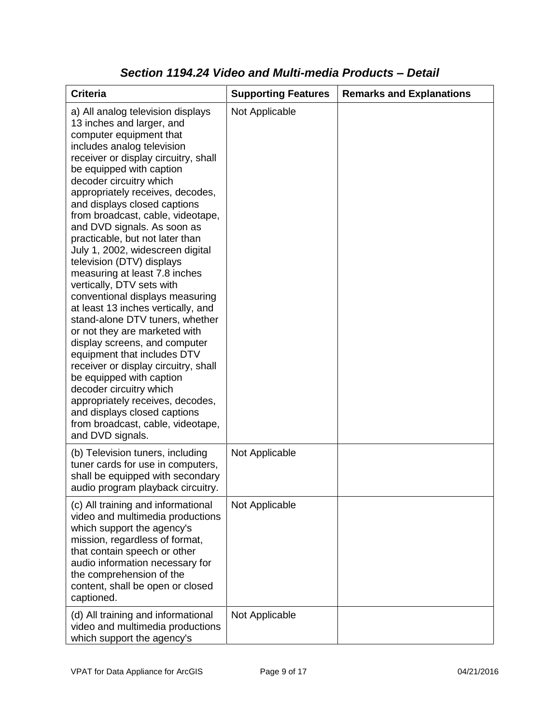| <b>Criteria</b>                                                                                                                                                                                                                                                                                                                                                                                                                                                                                                                                                                                                                                                                                                                                                                                                                                                                                                                                                           | <b>Supporting Features</b> | <b>Remarks and Explanations</b> |
|---------------------------------------------------------------------------------------------------------------------------------------------------------------------------------------------------------------------------------------------------------------------------------------------------------------------------------------------------------------------------------------------------------------------------------------------------------------------------------------------------------------------------------------------------------------------------------------------------------------------------------------------------------------------------------------------------------------------------------------------------------------------------------------------------------------------------------------------------------------------------------------------------------------------------------------------------------------------------|----------------------------|---------------------------------|
| a) All analog television displays<br>13 inches and larger, and<br>computer equipment that<br>includes analog television<br>receiver or display circuitry, shall<br>be equipped with caption<br>decoder circuitry which<br>appropriately receives, decodes,<br>and displays closed captions<br>from broadcast, cable, videotape,<br>and DVD signals. As soon as<br>practicable, but not later than<br>July 1, 2002, widescreen digital<br>television (DTV) displays<br>measuring at least 7.8 inches<br>vertically, DTV sets with<br>conventional displays measuring<br>at least 13 inches vertically, and<br>stand-alone DTV tuners, whether<br>or not they are marketed with<br>display screens, and computer<br>equipment that includes DTV<br>receiver or display circuitry, shall<br>be equipped with caption<br>decoder circuitry which<br>appropriately receives, decodes,<br>and displays closed captions<br>from broadcast, cable, videotape,<br>and DVD signals. | Not Applicable             |                                 |
| (b) Television tuners, including<br>tuner cards for use in computers,<br>shall be equipped with secondary<br>audio program playback circuitry.                                                                                                                                                                                                                                                                                                                                                                                                                                                                                                                                                                                                                                                                                                                                                                                                                            | Not Applicable             |                                 |
| (c) All training and informational<br>video and multimedia productions<br>which support the agency's<br>mission, regardless of format,<br>that contain speech or other<br>audio information necessary for<br>the comprehension of the<br>content, shall be open or closed<br>captioned.                                                                                                                                                                                                                                                                                                                                                                                                                                                                                                                                                                                                                                                                                   | Not Applicable             |                                 |
| (d) All training and informational<br>video and multimedia productions<br>which support the agency's                                                                                                                                                                                                                                                                                                                                                                                                                                                                                                                                                                                                                                                                                                                                                                                                                                                                      | Not Applicable             |                                 |

#### *Section 1194.24 Video and Multi-media Products – Detail*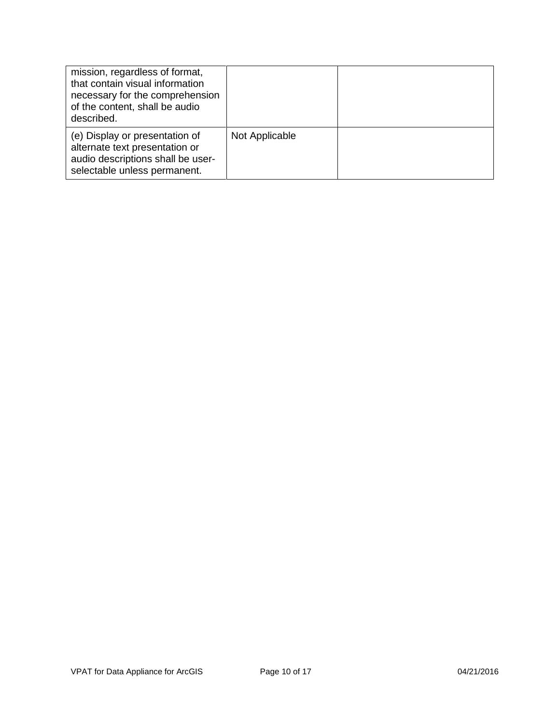| mission, regardless of format,<br>that contain visual information<br>necessary for the comprehension<br>of the content, shall be audio<br>described. |                |  |
|------------------------------------------------------------------------------------------------------------------------------------------------------|----------------|--|
| (e) Display or presentation of<br>alternate text presentation or<br>audio descriptions shall be user-<br>selectable unless permanent.                | Not Applicable |  |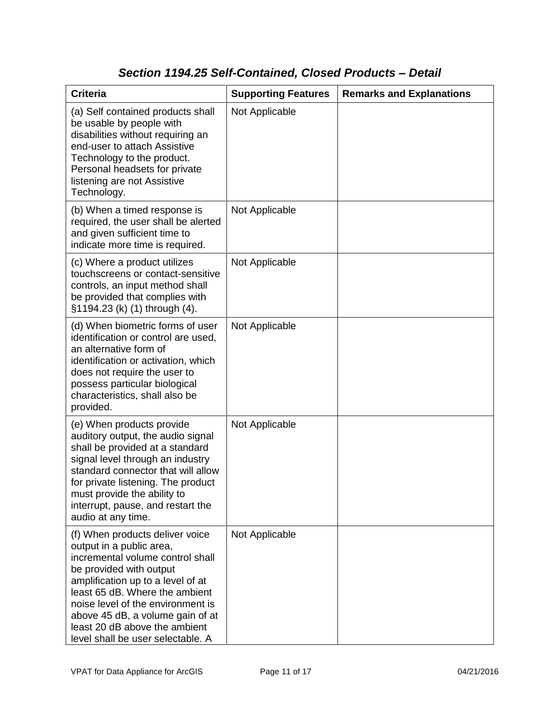### *Section 1194.25 Self-Contained, Closed Products – Detail*

| <b>Criteria</b>                                                                                                                                                                                                                                                                                                                                  | <b>Supporting Features</b> | <b>Remarks and Explanations</b> |
|--------------------------------------------------------------------------------------------------------------------------------------------------------------------------------------------------------------------------------------------------------------------------------------------------------------------------------------------------|----------------------------|---------------------------------|
| (a) Self contained products shall<br>be usable by people with<br>disabilities without requiring an<br>end-user to attach Assistive<br>Technology to the product.<br>Personal headsets for private<br>listening are not Assistive<br>Technology.                                                                                                  | Not Applicable             |                                 |
| (b) When a timed response is<br>required, the user shall be alerted<br>and given sufficient time to<br>indicate more time is required.                                                                                                                                                                                                           | Not Applicable             |                                 |
| (c) Where a product utilizes<br>touchscreens or contact-sensitive<br>controls, an input method shall<br>be provided that complies with<br>§1194.23 (k) (1) through (4).                                                                                                                                                                          | Not Applicable             |                                 |
| (d) When biometric forms of user<br>identification or control are used,<br>an alternative form of<br>identification or activation, which<br>does not require the user to<br>possess particular biological<br>characteristics, shall also be<br>provided.                                                                                         | Not Applicable             |                                 |
| (e) When products provide<br>auditory output, the audio signal<br>shall be provided at a standard<br>signal level through an industry<br>standard connector that will allow<br>for private listening. The product<br>must provide the ability to<br>interrupt, pause, and restart the<br>audio at any time.                                      | Not Applicable             |                                 |
| (f) When products deliver voice<br>output in a public area,<br>incremental volume control shall<br>be provided with output<br>amplification up to a level of at<br>least 65 dB. Where the ambient<br>noise level of the environment is<br>above 45 dB, a volume gain of at<br>least 20 dB above the ambient<br>level shall be user selectable. A | Not Applicable             |                                 |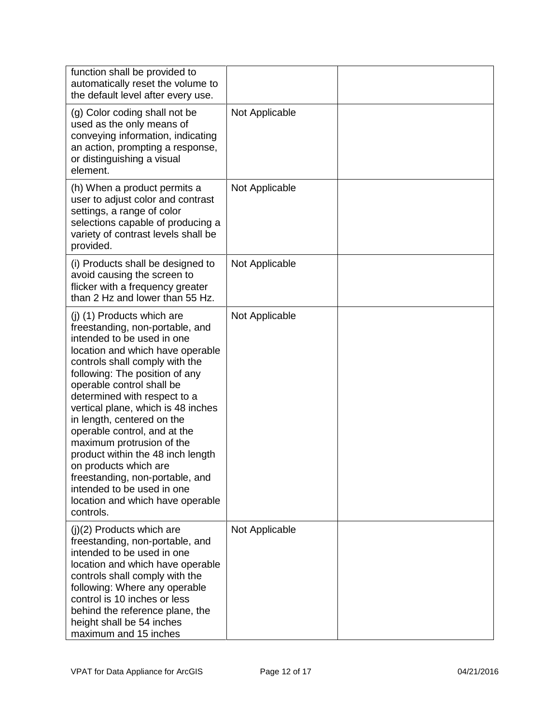| function shall be provided to<br>automatically reset the volume to<br>the default level after every use.                                                                                                                                                                                                                                                                                                                                                                                                                                                                          |                |  |
|-----------------------------------------------------------------------------------------------------------------------------------------------------------------------------------------------------------------------------------------------------------------------------------------------------------------------------------------------------------------------------------------------------------------------------------------------------------------------------------------------------------------------------------------------------------------------------------|----------------|--|
| (g) Color coding shall not be<br>used as the only means of<br>conveying information, indicating<br>an action, prompting a response,<br>or distinguishing a visual<br>element.                                                                                                                                                                                                                                                                                                                                                                                                     | Not Applicable |  |
| (h) When a product permits a<br>user to adjust color and contrast<br>settings, a range of color<br>selections capable of producing a<br>variety of contrast levels shall be<br>provided.                                                                                                                                                                                                                                                                                                                                                                                          | Not Applicable |  |
| (i) Products shall be designed to<br>avoid causing the screen to<br>flicker with a frequency greater<br>than 2 Hz and lower than 55 Hz.                                                                                                                                                                                                                                                                                                                                                                                                                                           | Not Applicable |  |
| (j) (1) Products which are<br>freestanding, non-portable, and<br>intended to be used in one<br>location and which have operable<br>controls shall comply with the<br>following: The position of any<br>operable control shall be<br>determined with respect to a<br>vertical plane, which is 48 inches<br>in length, centered on the<br>operable control, and at the<br>maximum protrusion of the<br>product within the 48 inch length<br>on products which are<br>freestanding, non-portable, and<br>intended to be used in one<br>location and which have operable<br>controls. | Not Applicable |  |
| (j)(2) Products which are<br>freestanding, non-portable, and<br>intended to be used in one<br>location and which have operable<br>controls shall comply with the<br>following: Where any operable<br>control is 10 inches or less<br>behind the reference plane, the<br>height shall be 54 inches<br>maximum and 15 inches                                                                                                                                                                                                                                                        | Not Applicable |  |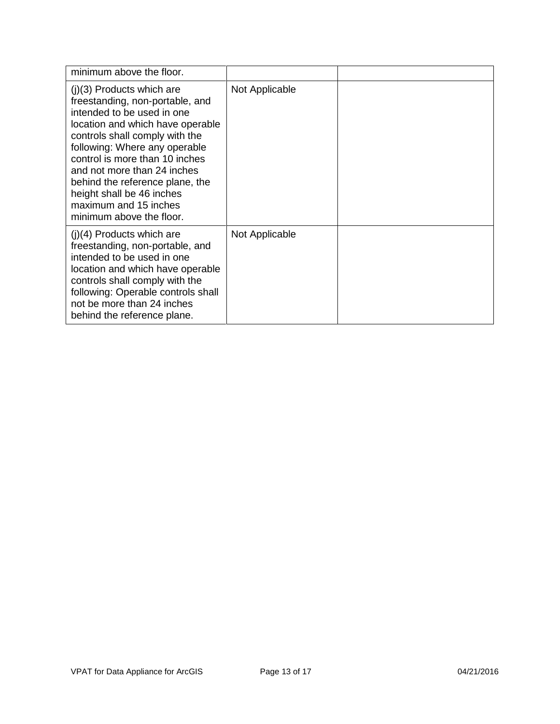| minimum above the floor.                                                                                                                                                                                                                                                                                                                                                                  |                |  |
|-------------------------------------------------------------------------------------------------------------------------------------------------------------------------------------------------------------------------------------------------------------------------------------------------------------------------------------------------------------------------------------------|----------------|--|
| $(j)(3)$ Products which are<br>freestanding, non-portable, and<br>intended to be used in one<br>location and which have operable<br>controls shall comply with the<br>following: Where any operable<br>control is more than 10 inches<br>and not more than 24 inches<br>behind the reference plane, the<br>height shall be 46 inches<br>maximum and 15 inches<br>minimum above the floor. | Not Applicable |  |
| $(i)(4)$ Products which are<br>freestanding, non-portable, and<br>intended to be used in one<br>location and which have operable<br>controls shall comply with the<br>following: Operable controls shall<br>not be more than 24 inches<br>behind the reference plane.                                                                                                                     | Not Applicable |  |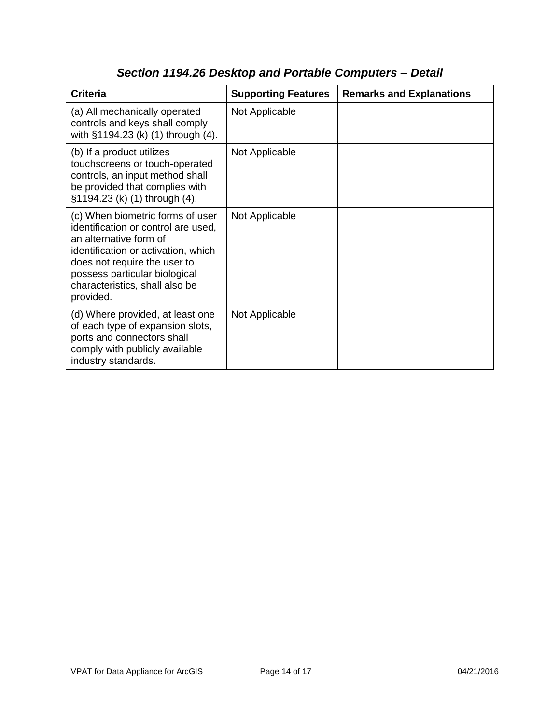| <b>Criteria</b>                                                                                                                                                                                                                                          | <b>Supporting Features</b> | <b>Remarks and Explanations</b> |
|----------------------------------------------------------------------------------------------------------------------------------------------------------------------------------------------------------------------------------------------------------|----------------------------|---------------------------------|
| (a) All mechanically operated<br>controls and keys shall comply<br>with §1194.23 (k) (1) through (4).                                                                                                                                                    | Not Applicable             |                                 |
| (b) If a product utilizes<br>touchscreens or touch-operated<br>controls, an input method shall<br>be provided that complies with<br>§1194.23 (k) (1) through (4).                                                                                        | Not Applicable             |                                 |
| (c) When biometric forms of user<br>identification or control are used,<br>an alternative form of<br>identification or activation, which<br>does not require the user to<br>possess particular biological<br>characteristics, shall also be<br>provided. | Not Applicable             |                                 |
| (d) Where provided, at least one<br>of each type of expansion slots,<br>ports and connectors shall<br>comply with publicly available<br>industry standards.                                                                                              | Not Applicable             |                                 |

# *Section 1194.26 Desktop and Portable Computers – Detail*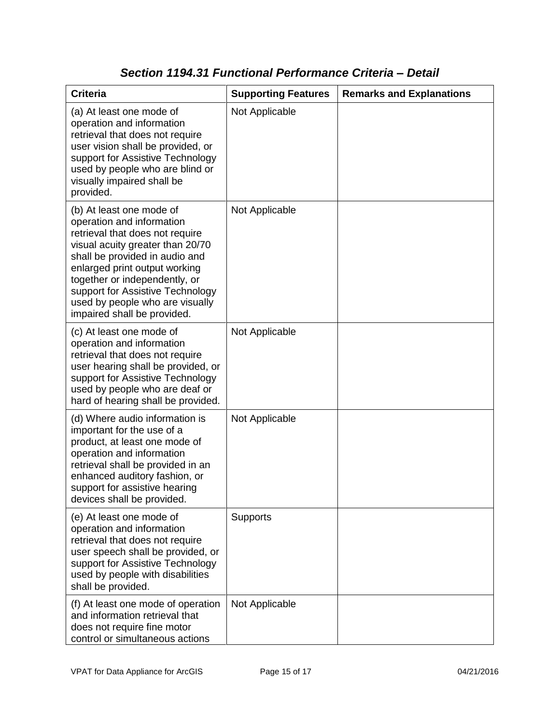| <b>Criteria</b>                                                                                                                                                                                                                                                                                                                        | <b>Supporting Features</b> | <b>Remarks and Explanations</b> |
|----------------------------------------------------------------------------------------------------------------------------------------------------------------------------------------------------------------------------------------------------------------------------------------------------------------------------------------|----------------------------|---------------------------------|
| (a) At least one mode of<br>operation and information<br>retrieval that does not require<br>user vision shall be provided, or<br>support for Assistive Technology<br>used by people who are blind or<br>visually impaired shall be<br>provided.                                                                                        | Not Applicable             |                                 |
| (b) At least one mode of<br>operation and information<br>retrieval that does not require<br>visual acuity greater than 20/70<br>shall be provided in audio and<br>enlarged print output working<br>together or independently, or<br>support for Assistive Technology<br>used by people who are visually<br>impaired shall be provided. | Not Applicable             |                                 |
| (c) At least one mode of<br>operation and information<br>retrieval that does not require<br>user hearing shall be provided, or<br>support for Assistive Technology<br>used by people who are deaf or<br>hard of hearing shall be provided.                                                                                             | Not Applicable             |                                 |
| (d) Where audio information is<br>important for the use of a<br>product, at least one mode of<br>operation and information<br>retrieval shall be provided in an<br>enhanced auditory fashion, or<br>support for assistive hearing<br>devices shall be provided.                                                                        | Not Applicable             |                                 |
| (e) At least one mode of<br>operation and information<br>retrieval that does not require<br>user speech shall be provided, or<br>support for Assistive Technology<br>used by people with disabilities<br>shall be provided.                                                                                                            | Supports                   |                                 |
| (f) At least one mode of operation<br>and information retrieval that<br>does not require fine motor<br>control or simultaneous actions                                                                                                                                                                                                 | Not Applicable             |                                 |

#### *Section 1194.31 Functional Performance Criteria – Detail*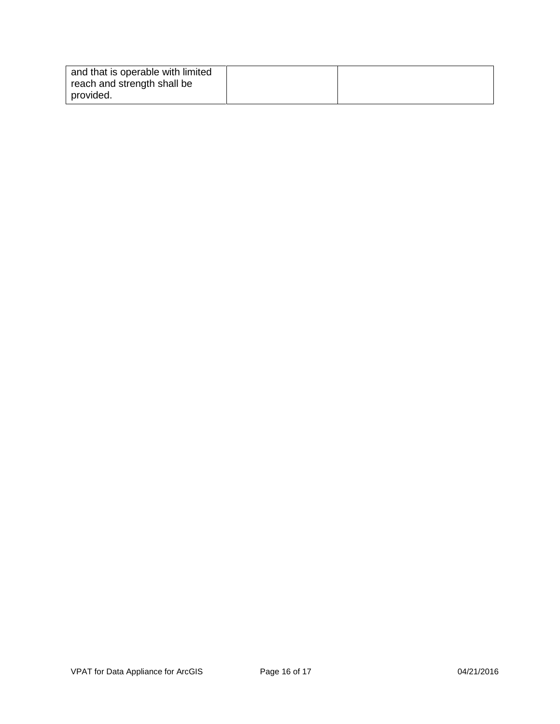| and that is operable with limited |  |
|-----------------------------------|--|
| reach and strength shall be       |  |
| provided.                         |  |